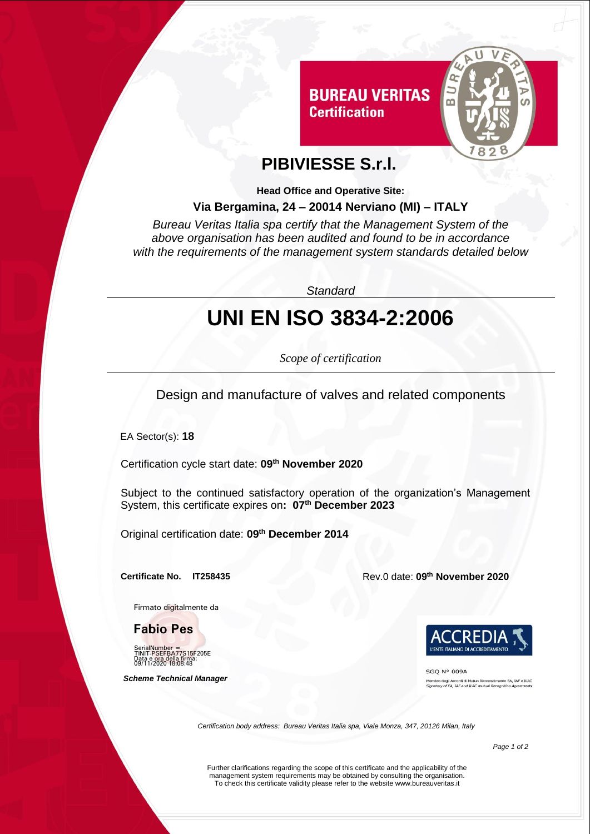

## **PIBIVIESSE S.r.l.**

**Certification** 

**Head Office and Operative Site:**

#### **Via Bergamina, 24 – 20014 Nerviano (MI) – ITALY**

*Bureau Veritas Italia spa certify that the Management System of the above organisation has been audited and found to be in accordance with the requirements of the management system standards detailed below*

*Standard*

# **UNI EN ISO 3834-2:2006**

*Scope of certification*

Design and manufacture of valves and related components

EA Sector(s): **18**

Certification cycle start date: **09 th November 2020**

Subject to the continued satisfactory operation of the organization's Management System, this certificate expires on**: 07th December 2023**

Original certification date: **09th December 2014**

**Certificate No. IT258435** 

Firmato digitalmente da

**Fabio Pes**

SerialNumber = TINIT-PSEFBA77S15F205E Data e ora della firma: 09/11/2020 18:08:48

 *Scheme Technical Manager*

**th November 2020**



**SGO N° 009A** .<br>In degli Accordi di Mutuo Riconoscimento EA, IAF e ILAC<br>tory of EA, IAF and ILAC mutual Recognition Agreements

*Certification body address: Bureau Veritas Italia spa, Viale Monza, 347, 20126 Milan, Italy*

*Page 1 of 2*

Further clarifications regarding the scope of this certificate and the applicability of the management system requirements may be obtained by consulting the organisation. To check this certificate validity please refer to the website www.bureauveritas.it